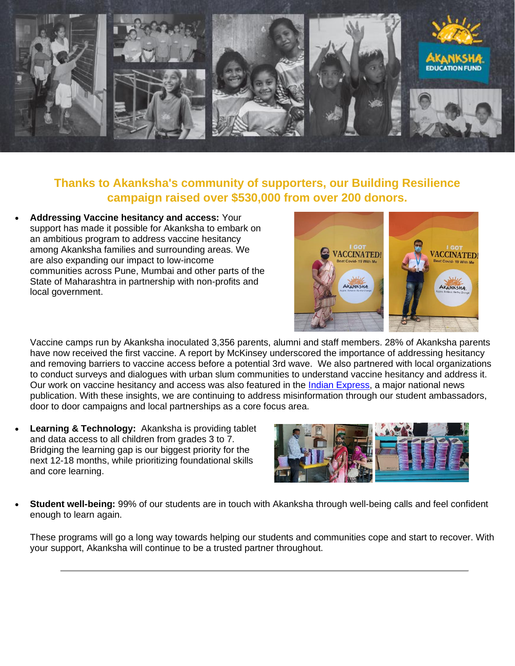

# **Thanks to Akanksha's community of supporters, our Building Resilience campaign raised over \$530,000 from over 200 donors.**

• **Addressing Vaccine hesitancy and access:** Your support has made it possible for Akanksha to embark on an ambitious program to address vaccine hesitancy among Akanksha families and surrounding areas. We are also expanding our impact to low-income communities across Pune, Mumbai and other parts of the State of Maharashtra in partnership with non-profits and local government.



Vaccine camps run by Akanksha inoculated 3,356 parents, alumni and staff members. 28% of Akanksha parents have now received the first vaccine. A report by McKinsey underscored the importance of addressing hesitancy and removing barriers to vaccine access before a potential 3rd wave. We also partnered with local organizations to conduct surveys and dialogues with urban slum communities to understand vaccine hesitancy and address it. Our work on vaccine hesitancy and access was also featured in the [Indian Express,](https://indianexpress.com/article/cities/pune/vaccine-hesitancy-mumbai-pune-urban-slum-communities-7406584/) a major national news publication. With these insights, we are continuing to address misinformation through our student ambassadors, door to door campaigns and local partnerships as a core focus area.

**Learning & Technology:** Akanksha is providing tablet and data access to all children from grades 3 to 7. Bridging the learning gap is our biggest priority for the next 12-18 months, while prioritizing foundational skills and core learning.



• **Student well-being:** 99% of our students are in touch with Akanksha through well-being calls and feel confident enough to learn again.

These programs will go a long way towards helping our students and communities cope and start to recover. With your support, Akanksha will continue to be a trusted partner throughout.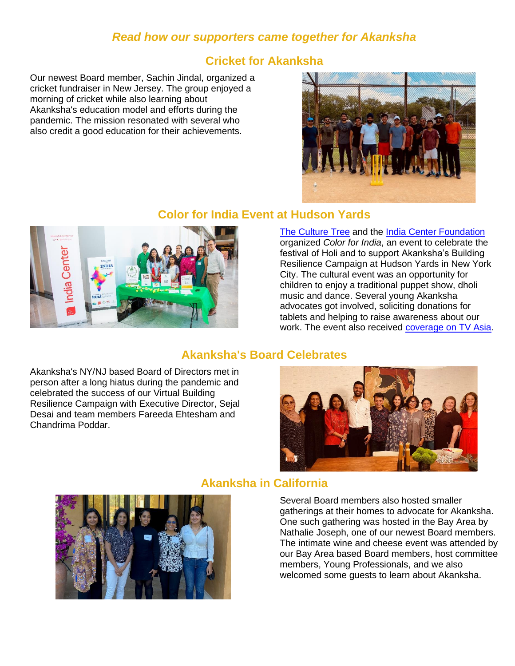### *Read how our supporters came together for Akanksha*

#### **Cricket for Akanksha**

Our newest Board member, Sachin Jindal, organized a cricket fundraiser in New Jersey. The group enjoyed a morning of cricket while also learning about Akanksha's education model and efforts during the pandemic. The mission resonated with several who also credit a good education for their achievements.





# **Color for India Event at Hudson Yards**

[The Culture Tree](https://theculturetree.com/) and the [India Center Foundation](https://theindiacenter.us/)  organized *Color for India*, an event to celebrate the festival of Holi and to support Akanksha's Building Resilience Campaign at Hudson Yards in New York City. The cultural event was an opportunity for children to enjoy a traditional puppet show, dholi music and dance. Several young Akanksha advocates got involved, soliciting donations for tablets and helping to raise awareness about our work. The event also received coverage [on TV Asia.](https://www.youtube.com/watch?v=u9a30Sg3HQA&ab_channel=ITVGold)

# **Akanksha's Board Celebrates**

Akanksha's NY/NJ based Board of Directors met in person after a long hiatus during the pandemic and celebrated the success of our Virtual Building Resilience Campaign with Executive Director, Sejal Desai and team members Fareeda Ehtesham and Chandrima Poddar.





#### **Akanksha in California**

Several Board members also hosted smaller gatherings at their homes to advocate for Akanksha. One such gathering was hosted in the Bay Area by Nathalie Joseph, one of our newest Board members. The intimate wine and cheese event was attended by our Bay Area based Board members, host committee members, Young Professionals, and we also welcomed some guests to learn about Akanksha.